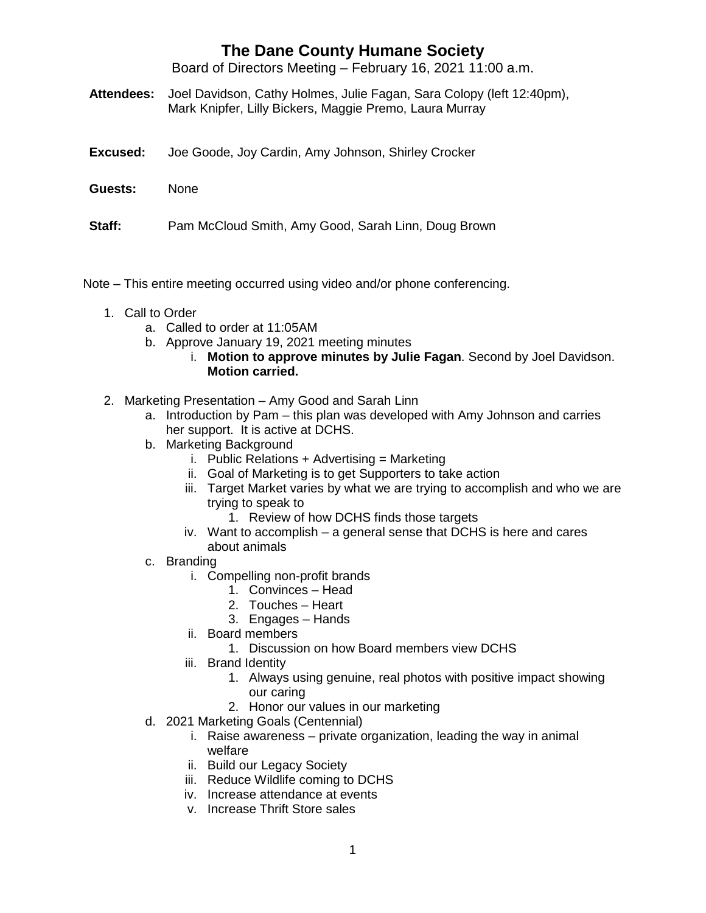## **The Dane County Humane Society**

Board of Directors Meeting – February 16, 2021 11:00 a.m.

- **Attendees:** Joel Davidson, Cathy Holmes, Julie Fagan, Sara Colopy (left 12:40pm), Mark Knipfer, Lilly Bickers, Maggie Premo, Laura Murray
- **Excused:** Joe Goode, Joy Cardin, Amy Johnson, Shirley Crocker
- **Guests:** None
- **Staff:** Pam McCloud Smith, Amy Good, Sarah Linn, Doug Brown
- Note This entire meeting occurred using video and/or phone conferencing.
	- 1. Call to Order
		- a. Called to order at 11:05AM
		- b. Approve January 19, 2021 meeting minutes
			- i. **Motion to approve minutes by Julie Fagan**. Second by Joel Davidson. **Motion carried.**
	- 2. Marketing Presentation Amy Good and Sarah Linn
		- a. Introduction by Pam this plan was developed with Amy Johnson and carries her support. It is active at DCHS.
		- b. Marketing Background
			- i. Public Relations + Advertising = Marketing
			- ii. Goal of Marketing is to get Supporters to take action
			- iii. Target Market varies by what we are trying to accomplish and who we are trying to speak to
				- 1. Review of how DCHS finds those targets
			- iv. Want to accomplish a general sense that DCHS is here and cares about animals
		- c. Branding
			- i. Compelling non-profit brands
				- 1. Convinces Head
				- 2. Touches Heart
				- 3. Engages Hands
			- ii. Board members
				- 1. Discussion on how Board members view DCHS
			- iii. Brand Identity
				- 1. Always using genuine, real photos with positive impact showing our caring
				- 2. Honor our values in our marketing
		- d. 2021 Marketing Goals (Centennial)
			- i. Raise awareness private organization, leading the way in animal welfare
			- ii. Build our Legacy Society
			- iii. Reduce Wildlife coming to DCHS
			- iv. Increase attendance at events
			- v. Increase Thrift Store sales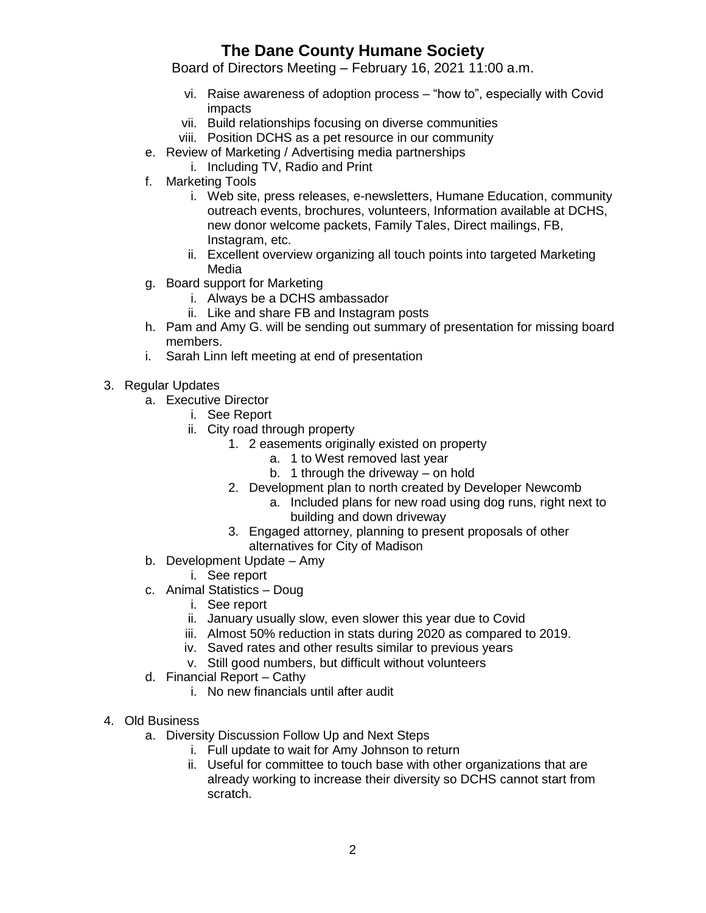## **The Dane County Humane Society**

Board of Directors Meeting – February 16, 2021 11:00 a.m.

- vi. Raise awareness of adoption process "how to", especially with Covid impacts
- vii. Build relationships focusing on diverse communities
- viii. Position DCHS as a pet resource in our community
- e. Review of Marketing / Advertising media partnerships
- i. Including TV, Radio and Print
- f. Marketing Tools
	- i. Web site, press releases, e-newsletters, Humane Education, community outreach events, brochures, volunteers, Information available at DCHS, new donor welcome packets, Family Tales, Direct mailings, FB, Instagram, etc.
	- ii. Excellent overview organizing all touch points into targeted Marketing Media
- g. Board support for Marketing
	- i. Always be a DCHS ambassador
	- ii. Like and share FB and Instagram posts
- h. Pam and Amy G. will be sending out summary of presentation for missing board members.
- i. Sarah Linn left meeting at end of presentation
- 3. Regular Updates
	- a. Executive Director
		- i. See Report
		- ii. City road through property
			- 1. 2 easements originally existed on property
				- a. 1 to West removed last year
				- b. 1 through the driveway on hold
			- 2. Development plan to north created by Developer Newcomb
				- a. Included plans for new road using dog runs, right next to building and down driveway
			- 3. Engaged attorney, planning to present proposals of other alternatives for City of Madison
	- b. Development Update Amy
		- i. See report
	- c. Animal Statistics Doug
		- i. See report
		- ii. January usually slow, even slower this year due to Covid
		- iii. Almost 50% reduction in stats during 2020 as compared to 2019.
		- iv. Saved rates and other results similar to previous years
		- v. Still good numbers, but difficult without volunteers
	- d. Financial Report Cathy
		- i. No new financials until after audit
- 4. Old Business
	- a. Diversity Discussion Follow Up and Next Steps
		- i. Full update to wait for Amy Johnson to return
		- ii. Useful for committee to touch base with other organizations that are already working to increase their diversity so DCHS cannot start from scratch.